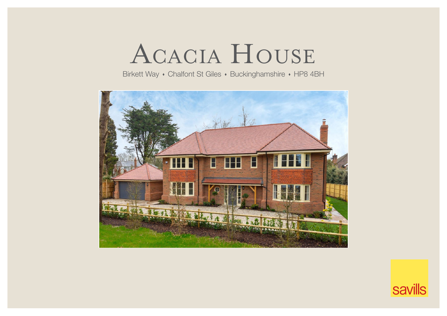# Acacia House

Birkett Way • Chalfont St Giles • Buckinghamshire • HP8 4BH



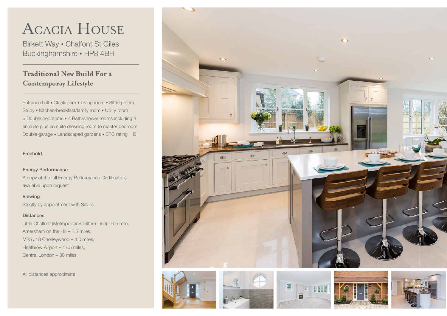# Acacia House

Birkett Way • Chalfont St Giles Buckinghamshire • HP8 4BH

### **Traditional New Build For a Contemporay Lifestyle**

Entrance hall • Cloakroom • Living room • Sitting room Study • Kitchen/breakfast/family room • Utility room 5 Double bedrooms 4 Bath/shower rooms including 3 en suite plus en suite dressing room to master bedroom Double garage  $\cdot$  Landscaped gardens  $\cdot$  EPC rating = B

#### Freehold

#### Energy Performance

A copy of the full Energy Performance Certificate is available upon request

Viewing Strictly by appointment with Savills

#### **Distances**

Little Chalfont (Metropolitan/Chiltern Line) - 0.5 mile, Amersham on the Hill – 2.5 miles, M25 J18 Chorleywood – 4.0 miles, Heathrow Airport – 17.5 miles, Central London – 30 miles

All distances approximate











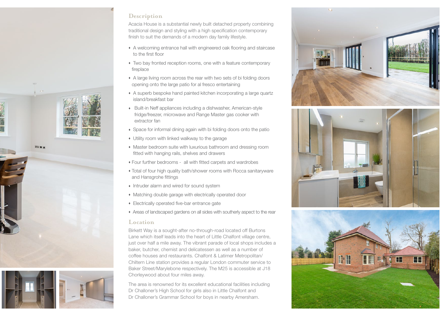

Acacia House is a substantial newly built detached property combining traditional design and styling with a high specification contemporary finish to suit the demands of a modern day family lifestyle.

- A welcoming entrance hall with engineered oak flooring and staircase to the first floor
- Two bay fronted reception rooms, one with a feature contemporary fireplace
- A large living room across the rear with two sets of bi folding doors opening onto the large patio for al fresco entertaining
- A superb bespoke hand painted kitchen incorporating a large quartz island/breakfast bar
- Built-in Neff appliances including a dishwasher, American-style fridge/freezer, microwave and Range Master gas cooker with extractor fan
- Space for informal dining again with bi folding doors onto the patio
- Utility room with linked walkway to the garage
- Master bedroom suite with luxurious bathroom and dressing room fitted with hanging rails, shelves and drawers
- Four further bedrooms all with fitted carpets and wardrobes
- Total of four high quality bath/shower rooms with Rocca sanitaryware and Hansgrohe fittings
- Intruder alarm and wired for sound system
- Matching double garage with electrically operated door
- Electrically operated five-bar entrance gate
- Areas of landscaped gardens on all sides with southerly aspect to the rear

#### **Location**

Birkett Way is a sought-after no-through-road located off Burtons Lane which itself leads into the heart of Little Chalfont village centre, just over half a mile away. The vibrant parade of local shops includes a baker, butcher, chemist and delicatessen as well as a number of coffee houses and restaurants. Chalfont & Latimer Metropolitan/ Chiltern Line station provides a regular London commuter service to Baker Street/Marylebone respectively. The M25 is accessible at J18 Chorleywood about four miles away.

The area is renowned for its excellent educational facilities including Dr Challoner's High School for girls also in Little Chalfont and Dr Challoner's Grammar School for boys in nearby Amersham.